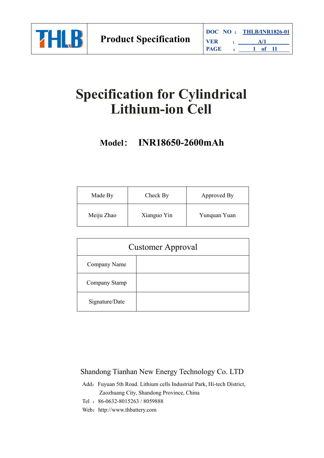

# **Specification for Cylindrical Lithium-ion Cell**

# **Model**: **INR18650-2600mAh**

| Made By    | Check By    | Approved By  |
|------------|-------------|--------------|
| Meiju Zhao | Xianguo Yin | Yunquan Yuan |

|                | <b>Customer Approval</b> |
|----------------|--------------------------|
| Company Name   |                          |
| Company Stamp  |                          |
| Signature/Date |                          |

## Shandong Tianhan New Energy Technology Co. LTD

- Add: Fuyuan 5th Road. Lithium cells Industrial Park, Hi-tech District, Zaozhuang City, Shandong Province, China
- Tel :86-0632-8015263 / 8059888
- Web: http://www.thbattery.com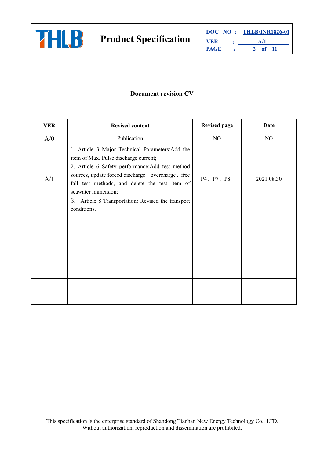

#### **Document revision CV**

| <b>VER</b> | <b>Revised content</b>                                                                                                                                                                                                                                                                                                                            | <b>Revised page</b> | <b>Date</b> |
|------------|---------------------------------------------------------------------------------------------------------------------------------------------------------------------------------------------------------------------------------------------------------------------------------------------------------------------------------------------------|---------------------|-------------|
| A/0        | Publication                                                                                                                                                                                                                                                                                                                                       | NO                  | NO          |
| A/1        | 1. Article 3 Major Technical Parameters: Add the<br>item of Max. Pulse discharge current;<br>2. Article 6 Safety performance: Add test method<br>sources, update forced discharge, overcharge, free<br>fall test methods, and delete the test item of<br>seawater immersion;<br>3. Article 8 Transportation: Revised the transport<br>conditions. | P4、P7、P8            | 2021.08.30  |
|            |                                                                                                                                                                                                                                                                                                                                                   |                     |             |
|            |                                                                                                                                                                                                                                                                                                                                                   |                     |             |
|            |                                                                                                                                                                                                                                                                                                                                                   |                     |             |
|            |                                                                                                                                                                                                                                                                                                                                                   |                     |             |
|            |                                                                                                                                                                                                                                                                                                                                                   |                     |             |
|            |                                                                                                                                                                                                                                                                                                                                                   |                     |             |
|            |                                                                                                                                                                                                                                                                                                                                                   |                     |             |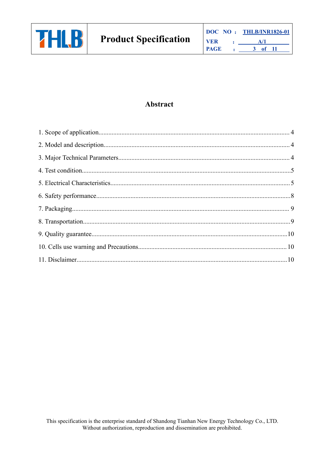

### Abstract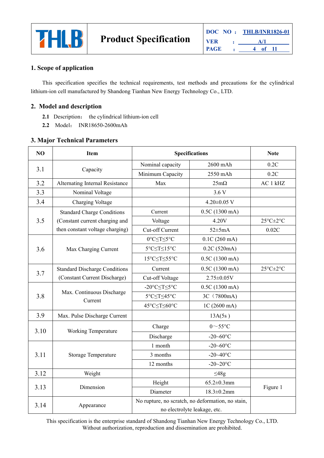

#### <span id="page-3-0"></span>**1. Scope of application**

This specification specifies the technical requirements, test methods and precautions for the cylindrical lithium-ion cell manufactured by Shandong Tianhan New Energy Technology Co., LTD.

#### <span id="page-3-1"></span>**2. Model and description**

- **2.1** Description: the cylindrical lithium-ion cell
- **2.2** Model: INR18650-2600mAh

#### <span id="page-3-2"></span>**3. Major Technical Parameters**

| N <sub>O</sub> | <b>Item</b>                          | <b>Specifications</b>                                                             |                   | <b>Note</b>                      |
|----------------|--------------------------------------|-----------------------------------------------------------------------------------|-------------------|----------------------------------|
|                |                                      | Nominal capacity                                                                  | 2600 mAh          | 0.2C                             |
| 3.1            | Capacity                             | Minimum Capacity                                                                  | 2550 mAh          | 0.2C                             |
| 3.2            | Alternating Internal Resistance      | Max                                                                               | $25m\Omega$       | AC 1 kHZ                         |
| 3.3            | Nominal Voltage                      |                                                                                   | 3.6V              |                                  |
| 3.4            | Charging Voltage                     |                                                                                   | $4.20\pm0.05$ V   |                                  |
|                | <b>Standard Charge Conditions</b>    | Current                                                                           | 0.5C(1300 mA)     |                                  |
| 3.5            | (Constant current charging and       | Voltage                                                                           | 4.20V             | $25^{\circ}$ C $\pm 2^{\circ}$ C |
|                | then constant voltage charging)      | Cut-off Current                                                                   | $52 \pm 5mA$      | 0.02C                            |
|                |                                      | 0°C≤T≤5°C                                                                         | 0.1C(260 mA)      |                                  |
| 3.6            | Max Charging Current                 | 5°C≤T≤15°C                                                                        | 0.2C(520mA)       |                                  |
|                |                                      | 15°C≤T≤55°C                                                                       | 0.5C(1300 mA)     |                                  |
|                | <b>Standard Discharge Conditions</b> | Current                                                                           | 0.5C(1300 mA)     | $25^{\circ}$ C $\pm 2^{\circ}$ C |
| 3.7            | (Constant Current Discharge)         | Cut-off Voltage                                                                   | $2.75 \pm 0.05 V$ |                                  |
|                |                                      | -20°C≤T≤5°C                                                                       | 0.5C(1300 mA)     |                                  |
| 3.8            | Max. Continuous Discharge<br>Current | 5°C≤T≤45°C                                                                        | 3C (7800mA)       |                                  |
|                |                                      | 45°C≤T≤60°C                                                                       | 1C (2600 mA)      |                                  |
| 3.9            | Max. Pulse Discharge Current         |                                                                                   | 13A(5s)           |                                  |
| 3.10           |                                      | Charge                                                                            | $0\sim$ 55°C      |                                  |
|                | Working Temperature                  | Discharge                                                                         | $-20 - 60$ °C     |                                  |
|                |                                      | 1 month                                                                           | $-20 - 60$ °C     |                                  |
| 3.11           | Storage Temperature                  | 3 months                                                                          | $-20 - 40$ °C     |                                  |
|                |                                      | 12 months                                                                         | $-20 - 20$ °C     |                                  |
| 3.12           | Weight                               |                                                                                   | $\leq 48g$        |                                  |
|                | Dimension                            | Height                                                                            | $65.2 \pm 0.3$ mm |                                  |
| 3.13           |                                      | Diameter                                                                          | $18.3 \pm 0.2$ mm | Figure 1                         |
| 3.14           | Appearance                           | No rupture, no scratch, no deformation, no stain,<br>no electrolyte leakage, etc. |                   |                                  |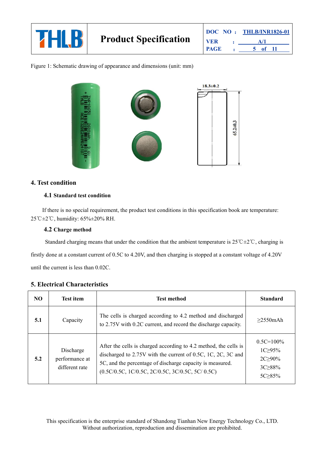

Figure 1: Schematic drawing of appearance and dimensions (unit: mm)



#### <span id="page-4-0"></span>**4. Test condition**

#### **4.1 Standard test condition**

If there is no special requirement, the product test conditions in this specification book are temperature: 25°C±2°C, humidity: 65%±20% RH.

#### **4.2 Charge method**

Standard charging means that under the condition that the ambient temperature is  $25^{\circ}C\pm2^{\circ}C$ , charging is firstly done at a constant current of 0.5C to 4.20V, and then charging is stopped at a constant voltage of 4.20V until the current is less than  $0.02C$ .

| NO  | <b>Test item</b>                              | <b>Test method</b>                                                                                                                                                                                                                                 | <b>Standard</b>                                                                |
|-----|-----------------------------------------------|----------------------------------------------------------------------------------------------------------------------------------------------------------------------------------------------------------------------------------------------------|--------------------------------------------------------------------------------|
| 5.1 | Capacity                                      | The cells is charged according to 4.2 method and discharged<br>to 2.75V with 0.2C current, and record the discharge capacity.                                                                                                                      | $\geq$ 2550mAh                                                                 |
| 5.2 | Discharge<br>performance at<br>different rate | After the cells is charged according to 4.2 method, the cells is<br>discharged to 2.75V with the current of 0.5C, 1C, 2C, 3C and<br>5C, and the percentage of discharge capacity is measured.<br>$(0.5C/0.5C, 1C/0.5C, 2C/0.5C, 3C/0.5C, 5C/0.5C)$ | $0.5C = 100\%$<br>$1C \geq 95\%$<br>$2C \geq 90\%$<br>$3C \geq 88\%$<br>5C≥85% |

#### <span id="page-4-1"></span>**5. Electrical Characteristics**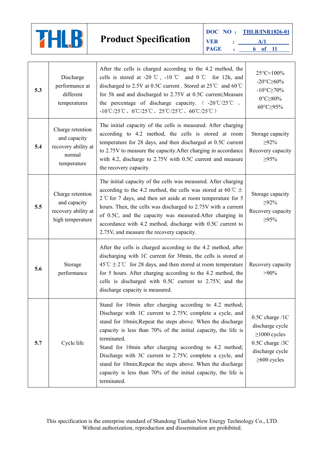

| 5.3 | Discharge<br>performance at<br>different<br>temperatures                         | After the cells is charged according to the 4.2 method, the<br>cells is stored at -20 °C, -10 °C and 0 °C for 12h, and<br>discharged to 2.5V at 0.5C current. Stored at 25℃ and 60℃<br>for 5h and and discharged to 2.75V at 0.5C current; Measure<br>the percentage of discharge capacity. $(-20^{\circ}C/25^{\circ}C)$ ,<br>-10°C/25°C, 0°C/25°C, 25°C/25°C, 60°C/25°C)                                                                                                                                                                    | $25^{\circ}$ C=100%<br>$-20^{\circ}$ C $\geq 60\%$<br>$-10^{\circ}$ C $\geq$ 70%<br>$0^{\circ}$ C $\geq$ 80%<br>60°C≥95% |
|-----|----------------------------------------------------------------------------------|----------------------------------------------------------------------------------------------------------------------------------------------------------------------------------------------------------------------------------------------------------------------------------------------------------------------------------------------------------------------------------------------------------------------------------------------------------------------------------------------------------------------------------------------|--------------------------------------------------------------------------------------------------------------------------|
| 5.4 | Charge retention<br>and capacity<br>recovery ability at<br>normal<br>temperature | The initial capacity of the cells is measured. After charging<br>according to 4.2 method, the cells is stored at room<br>temperature for 28 days, and then discharged at 0.5C current<br>to 2.75V to measure the capacity. After charging in accordance<br>with 4.2, discharge to 2.75V with 0.5C current and measure<br>the recovery capacity.                                                                                                                                                                                              | Storage capacity<br>$\geq 92\%$<br>Recovery capacity<br>$\geq 95\%$                                                      |
| 5.5 | Charge retention<br>and capacity<br>recovery ability at<br>high temperature      | The initial capacity of the cells was measured. After charging<br>according to the 4.2 method, the cells was stored at 60 °C $\pm$<br>$2^{\circ}$ C for 7 days, and then set aside at room temperature for 5<br>hours. Then, the cells was discharged to 2.75V with a current<br>of 0.5C, and the capacity was measured.After charging in<br>accordance with 4.2 method, discharge with 0.5C current to<br>2.75V, and measure the recovery capacity.                                                                                         | Storage capacity<br>$\geq 92\%$<br>Recovery capacity<br>$\geq 95\%$                                                      |
| 5.6 | Storage<br>performance                                                           | After the cells is charged according to the 4.2 method, after<br>discharging with 1C current for 30min, the cells is stored at<br>45 °C $\pm$ 2 °C for 28 days, and then stored at room temperature<br>for 5 hours. After charging according to the 4.2 method, the<br>cells is discharged with 0.5C current to 2.75V, and the<br>discharge capacity is measured.                                                                                                                                                                            | Recovery capacity<br>$>90\%$                                                                                             |
| 5.7 | Cycle life                                                                       | Stand for 10min after charging according to 4.2 method;<br>Discharge with 1C current to 2.75V, complete a cycle, and<br>stand for 10min; Repeat the steps above. When the discharge<br>capacity is less than 70% of the initial capacity, the life is<br>terminated.<br>Stand for 10min after charging according to 4.2 method;<br>Discharge with 3C current to 2.75V, complete a cycle, and<br>stand for 10min; Repeat the steps above. When the discharge<br>capacity is less than 70% of the initial capacity, the life is<br>terminated. | 0.5C charge /1C<br>discharge cycle<br>$\geq$ 1000 cycles<br>0.5C charge /3C<br>discharge cycle<br>$\geq$ 600 cycles      |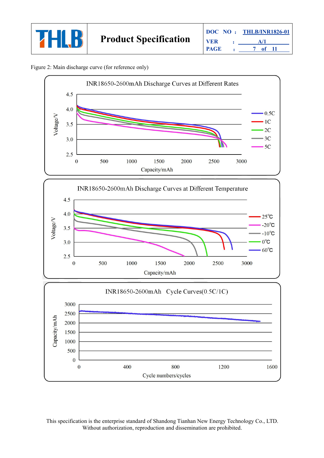



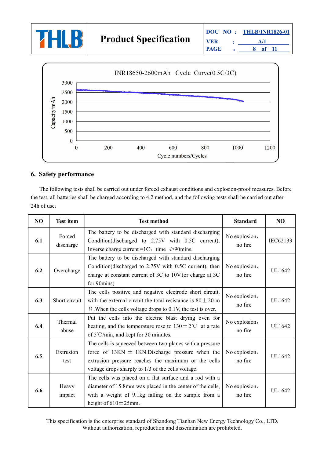



#### <span id="page-7-0"></span>**6. Safety performance**

The following tests shall be carried out under forced exhaust conditions and explosion-proof measures. Before the test, all batteries shall be charged according to 4.2 method, and the following tests shall be carried out after 24h of use:

| NO  | <b>Test item</b>    | <b>Test method</b>                                                                                                                                                                                                             | <b>Standard</b>          | NO            |
|-----|---------------------|--------------------------------------------------------------------------------------------------------------------------------------------------------------------------------------------------------------------------------|--------------------------|---------------|
| 6.1 | Forced<br>discharge | The battery to be discharged with standard discharging<br>Condition(discharged to 2.75V with 0.5C current),<br>Inverse charge current =1C; time $\geq 90$ mins.                                                                | No explosion,<br>no fire | IEC62133      |
| 6.2 | Overcharge          | The battery to be discharged with standard discharging<br>Condition(discharged to 2.75V with 0.5C current), then<br>charge at constant current of 3C to 10V (or charge at 3C<br>for 90mins)                                    | No explosion,<br>no fire | <b>UL1642</b> |
| 6.3 | Short circuit       | The cells positive and negative electrode short circuit,<br>with the external circuit the total resistance is $80 \pm 20$ m<br>$\Omega$ . When the cells voltage drops to 0.1V, the test is over.                              | No explosion,<br>no fire | <b>UL1642</b> |
| 6.4 | Thermal<br>abuse    | Put the cells into the electric blast drying oven for<br>heating, and the temperature rose to $130 \pm 2^{\circ}$ at a rate<br>of $5^{\circ}$ C/min, and kept for 30 minutes.                                                  | No explosion,<br>no fire | <b>UL1642</b> |
| 6.5 | Extrusion<br>test   | The cells is squeezed between two planes with a pressure<br>force of $13KN \pm 1KN$ . Discharge pressure when the<br>extrusion pressure reaches the maximum or the cells<br>voltage drops sharply to 1/3 of the cells voltage. | No explosion,<br>no fire | UL1642        |
| 6.6 | Heavy<br>impact     | The cells was placed on a flat surface and a rod with a<br>diameter of 15.8mm was placed in the center of the cells,<br>with a weight of 9.1kg falling on the sample from a<br>height of $610 \pm 25$ mm.                      | No explosion,<br>no fire | <b>UL1642</b> |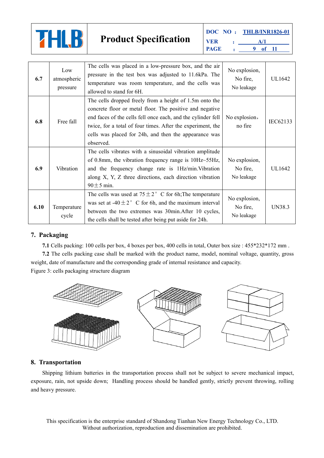

| 6.7  | Low<br>atmospheric<br>pressure | The cells was placed in a low-pressure box, and the air<br>pressure in the test box was adjusted to 11.6kPa. The<br>temperature was room temperature, and the cells was<br>allowed to stand for 6H.                                                                                                                      | No explosion,<br>No fire,<br>No leakage | UL1642   |
|------|--------------------------------|--------------------------------------------------------------------------------------------------------------------------------------------------------------------------------------------------------------------------------------------------------------------------------------------------------------------------|-----------------------------------------|----------|
| 6.8  | Free fall                      | The cells dropped freely from a height of 1.5m onto the<br>concrete floor or metal floor. The positive and negative<br>end faces of the cells fell once each, and the cylinder fell<br>twice, for a total of four times. After the experiment, the<br>cells was placed for 24h, and then the appearance was<br>observed. | No explosion,<br>no fire                | IEC62133 |
| 6.9  | Vibration                      | The cells vibrates with a sinusoidal vibration amplitude<br>of 0.8mm, the vibration frequency range is 10Hz~55Hz,<br>and the frequency change rate is 1Hz/min. Vibration<br>along X, Y, Z three directions, each direction vibration<br>$90 \pm 5$ min.                                                                  | No explosion,<br>No fire,<br>No leakage | UL1642   |
| 6.10 | Temperature<br>cycle           | The cells was used at $75 \pm 2^{\circ}$ C for 6h; The temperature<br>was set at $-40 \pm 2$ ° C for 6h, and the maximum interval<br>between the two extremes was 30min. After 10 cycles,<br>the cells shall be tested after being put aside for 24h.                                                                    | No explosion,<br>No fire,<br>No leakage | UN38.3   |

#### <span id="page-8-0"></span>**7. Packaging**

**7.1** Cells packing: 100 cells per box, 4 boxes per box, 400 cells in total, Outer box size :  $455*232*172$  mm .

**7.2** The cells packing case shall be marked with the product name, model, nominal voltage, quantity, gross weight, date of manufacture and the corresponding grade of internal resistance and capacity.

Figure 3: cells packaging structure diagram



#### <span id="page-8-1"></span>**8. Transportation**

Shipping lithium batteries in the transportation process shall not be subject to severe mechanical impact, exposure, rain, not upside down; Handling process should be handled gently, strictly prevent throwing, rolling and heavy pressure.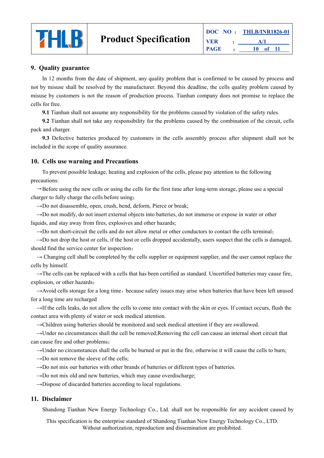

#### <span id="page-9-0"></span>**9. Quality guarantee**

In 12 months from the date of shipment, any quality problem that is confirmed to be caused by process and not by misuse shall be resolved by the manufacturer. Beyond this deadline, the cells quality problem caused by misuse by customers is not the reason of production process. Tianhan company does not promise to replace the cells for free.

**9.1** Tianhan shall not assume any responsibility for the problems caused by violation of the safety rules.

**9.2** Tianhan shall not take any responsibility for the problems caused by the combination of the circuit, cells pack and charger.

**9.3** Defective batteries produced by customers in the cells assembly process after shipment shall not be included in the scope of quality assurance.

#### <span id="page-9-1"></span>**10. Cells use warning and Precautions**

To prevent possible leakage, heating and explosion of the cells, please pay attention to the following precautions:

 $\rightarrow$ Before using the new cells or using the cells for the first time after long-term storage, please use a special charger to fully charge the cells before using;

→Do not disassemble, open, crush, bend, deform, Pierce or break;

→Do not modify, do not insert external objects into batteries, do not immerse or expose in water or other liquids, and stay away from fires, explosives and other hazards;

 $\rightarrow$ Do not short-circuit the cells and do not allow metal or other conductors to contact the cells terminal;

 $\rightarrow$ Do not drop the host or cells, if the host or cells dropped accidentally, users suspect that the cells is damaged, should find the service center for inspection;

 $\rightarrow$  Changing cell shall be completed by the cells supplier or equipment supplier, and the user cannot replace the cells by himself.

 $\rightarrow$ The cells can be replaced with a cells that has been certified as standard. Uncertified batteries may cause fire, explosion, or other hazards;

→Avoid cells storage for a long time, because safety issues may arise when batteries that have been left unused for a long time are recharged

→If the cells leaks, do not allow the cells to come into contact with the skin or eyes. If contact occurs, flush the contact area with plenty of water or seek medical attention.

 $\rightarrow$ Children using batteries should be monitored and seek medical attention if they are swallowed.

→Under no circumstances shall the cell be removed;Removing the cell can cause an internal short circuit that can cause fire and other problems;

 $\rightarrow$ Under no circumstances shall the cells be burned or put in the fire, otherwise it will cause the cells to burn;

 $\rightarrow$ Do not remove the sleeve of the cells;

 $\rightarrow$ Do not mix our batteries with other brands of batteries or different types of batteries.

 $\rightarrow$ Do not mix old and new batteries, which may cause overdischarge;

 $\rightarrow$ Dispose of discarded batteries according to local regulations.

#### <span id="page-9-2"></span>**11. Disclaimer**

Shandong Tianhan New Energy Technology Co., Ltd. shall not be responsible for any accident caused by